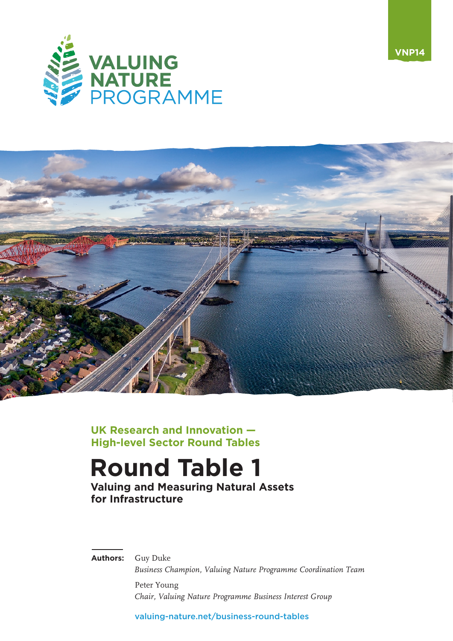



**UK Research and Innovation — High-level Sector Round Tables**

# **Round Table 1**

**Valuing and Measuring Natural Assets for Infrastructure**

**Authors:** Guy Duke

*Business Champion, Valuing Nature Programme Coordination Team* Peter Young *Chair, Valuing Nature Programme Business Interest Group*

[valuing-nature.net/business-round-tables](https://valuing-nature.net/business-round-tables)

**VNP14**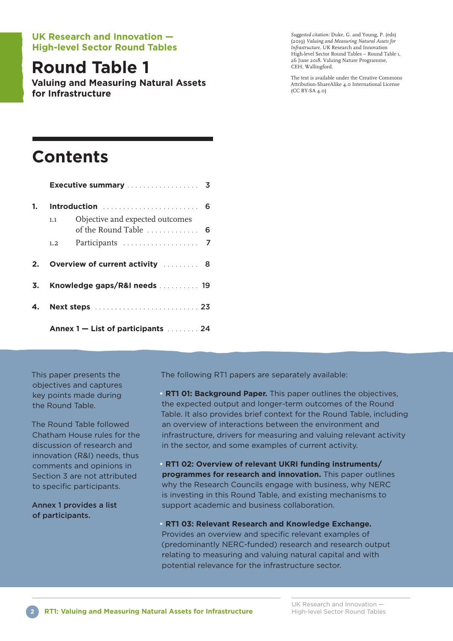#### **UK Research and Innovation — High-level Sector Round Tables**

## **Round Table 1**

**Valuing and Measuring Natural Assets for Infrastructure**

*Suggested citation:* Duke, G. and Young, P. (eds) (20ı9) *Valuing and Measuring Natural Assets for Infrastructure.* UK Research and Innovation High-level Sector Round Tables – Round Table ı, 26 June 20ı8. Valuing Nature Programme, CEH, Wallingford.

The text is available under the Creative Commons Attribution-ShareAlike 4.0 International License (CC BY-SA 4.0)

## **Contents**

|    | Executive summary  3                                            |  |  |  |
|----|-----------------------------------------------------------------|--|--|--|
| 1. | Introduction  6                                                 |  |  |  |
|    | Objective and expected outcomes<br>1.1<br>of the Round Table  6 |  |  |  |
|    | 1.2                                                             |  |  |  |
| 2. | Overview of current activity  8                                 |  |  |  |
| 3. | Knowledge gaps/R&I needs  19                                    |  |  |  |
| 4. |                                                                 |  |  |  |
|    | Annex 1 – List of participants  24                              |  |  |  |

This paper presents the objectives and captures key points made during the Round Table.

The Round Table followed Chatham House rules for the discussion of research and innovation (R&I) needs, thus comments and opinions in Section 3 are not attributed to specific participants.

Annex 1 provides a list of participants.

The following RT1 papers are separately available:

**• RT1 01: Background Paper.** This paper outlines the objectives, the expected output and longer-term outcomes of the Round Table. It also provides brief context for the Round Table, including an overview of interactions between the environment and infrastructure, drivers for measuring and valuing relevant activity in the sector, and some examples of current activity.

**• RT1 02: Overview of relevant UKRI funding instruments/ programmes for research and innovation.** This paper outlines why the Research Councils engage with business, why NERC is investing in this Round Table, and existing mechanisms to support academic and business collaboration.

**• RT1 03: Relevant Research and Knowledge Exchange.** Provides an overview and specific relevant examples of (predominantly NERC-funded) research and research output relating to measuring and valuing natural capital and with potential relevance for the infrastructure sector.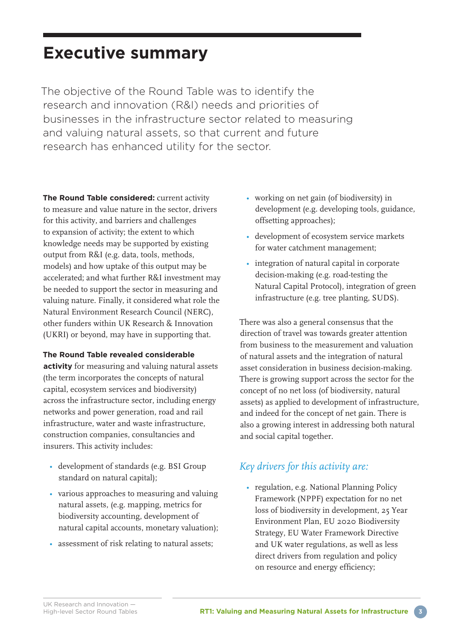## **Executive summary**

The objective of the Round Table was to identify the research and innovation (R&I) needs and priorities of businesses in the infrastructure sector related to measuring and valuing natural assets, so that current and future research has enhanced utility for the sector.

**The Round Table considered:** current activity to measure and value nature in the sector, drivers for this activity, and barriers and challenges to expansion of activity; the extent to which knowledge needs may be supported by existing output from R&I (e.g. data, tools, methods, models) and how uptake of this output may be accelerated; and what further R&I investment may be needed to support the sector in measuring and valuing nature. Finally, it considered what role the Natural Environment Research Council (NERC), other funders within UK Research & Innovation (UKRI) or beyond, may have in supporting that.

#### **The Round Table revealed considerable**

**activity** for measuring and valuing natural assets (the term incorporates the concepts of natural capital, ecosystem services and biodiversity) across the infrastructure sector, including energy networks and power generation, road and rail infrastructure, water and waste infrastructure, construction companies, consultancies and insurers. This activity includes:

- development of standards (e.g. BSI Group standard on natural capital);
- various approaches to measuring and valuing natural assets, (e.g. mapping, metrics for biodiversity accounting, development of natural capital accounts, monetary valuation);
- assessment of risk relating to natural assets;
- working on net gain (of biodiversity) in development (e.g. developing tools, guidance, offsetting approaches);
- development of ecosystem service markets for water catchment management;
- integration of natural capital in corporate decision-making (e.g. road-testing the Natural Capital Protocol), integration of green infrastructure (e.g. tree planting, SUDS).

There was also a general consensus that the direction of travel was towards greater attention from business to the measurement and valuation of natural assets and the integration of natural asset consideration in business decision-making. There is growing support across the sector for the concept of no net loss (of biodiversity, natural assets) as applied to development of infrastructure, and indeed for the concept of net gain. There is also a growing interest in addressing both natural and social capital together.

#### *Key drivers for this activity are:*

• regulation, e.g. National Planning Policy Framework (NPPF) expectation for no net loss of biodiversity in development, 25 Year Environment Plan, EU 2020 Biodiversity Strategy, EU Water Framework Directive and UK water regulations, as well as less direct drivers from regulation and policy on resource and energy efficiency;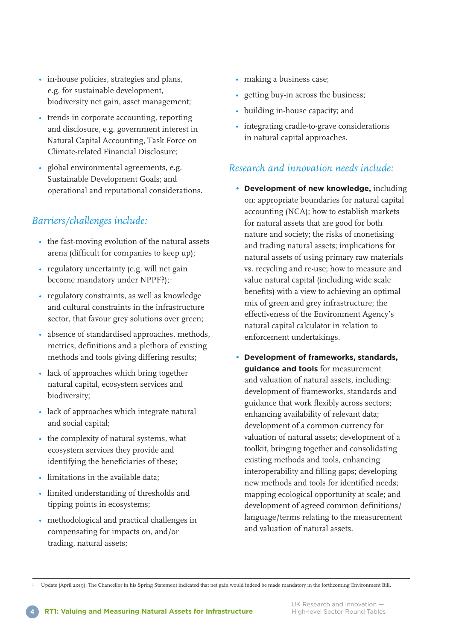- in-house policies, strategies and plans, e.g. for sustainable development, biodiversity net gain, asset management;
- trends in corporate accounting, reporting and disclosure, e.g. government interest in Natural Capital Accounting, Task Force on Climate-related Financial Disclosure;
- global environmental agreements, e.g. Sustainable Development Goals; and operational and reputational considerations.

### *Barriers/challenges include:*

- the fast-moving evolution of the natural assets arena (difficult for companies to keep up);
- regulatory uncertainty (e.g. will net gain become mandatory under NPPF?):<sup>1</sup>
- regulatory constraints, as well as knowledge and cultural constraints in the infrastructure sector, that favour grey solutions over green;
- absence of standardised approaches, methods, metrics, definitions and a plethora of existing methods and tools giving differing results;
- lack of approaches which bring together natural capital, ecosystem services and biodiversity;
- lack of approaches which integrate natural and social capital;
- the complexity of natural systems, what ecosystem services they provide and identifying the beneficiaries of these;
- limitations in the available data;
- limited understanding of thresholds and tipping points in ecosystems;
- methodological and practical challenges in compensating for impacts on, and/or trading, natural assets;
- making a business case;
- getting buy-in across the business;
- building in-house capacity; and
- integrating cradle-to-grave considerations in natural capital approaches.

### *Research and innovation needs include:*

- **Development of new knowledge,** including on: appropriate boundaries for natural capital accounting (NCA); how to establish markets for natural assets that are good for both nature and society; the risks of monetising and trading natural assets; implications for natural assets of using primary raw materials vs. recycling and re-use; how to measure and value natural capital (including wide scale benefits) with a view to achieving an optimal mix of green and grey infrastructure; the effectiveness of the Environment Agency's natural capital calculator in relation to enforcement undertakings.
- **Development of frameworks, standards, guidance and tools** for measurement and valuation of natural assets, including: development of frameworks, standards and guidance that work flexibly across sectors; enhancing availability of relevant data; development of a common currency for valuation of natural assets; development of a toolkit, bringing together and consolidating existing methods and tools, enhancing interoperability and filling gaps; developing new methods and tools for identified needs; mapping ecological opportunity at scale; and development of agreed common definitions/ language/terms relating to the measurement and valuation of natural assets.

ı Update (April 20ı9): The Chancellor in his Spring Statement indicated that net gain would indeed be made mandatory in the forthcoming Environment Bill.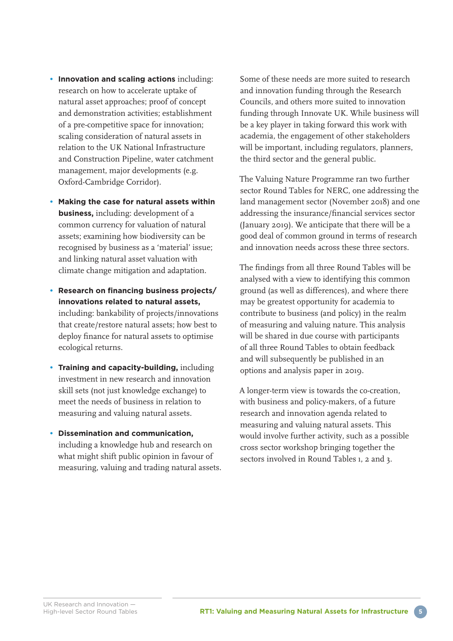- **Innovation and scaling actions** including: research on how to accelerate uptake of natural asset approaches; proof of concept and demonstration activities; establishment of a pre-competitive space for innovation; scaling consideration of natural assets in relation to the UK National Infrastructure and Construction Pipeline, water catchment management, major developments (e.g. Oxford-Cambridge Corridor).
- **Making the case for natural assets within business,** including: development of a common currency for valuation of natural assets; examining how biodiversity can be recognised by business as a 'material' issue; and linking natural asset valuation with climate change mitigation and adaptation.
- **Research on financing business projects/ innovations related to natural assets,**  including: bankability of projects/innovations that create/restore natural assets; how best to deploy finance for natural assets to optimise ecological returns.
- **Training and capacity-building,** including investment in new research and innovation skill sets (not just knowledge exchange) to meet the needs of business in relation to measuring and valuing natural assets.
- **Dissemination and communication,** including a knowledge hub and research on what might shift public opinion in favour of measuring, valuing and trading natural assets.

Some of these needs are more suited to research and innovation funding through the Research Councils, and others more suited to innovation funding through Innovate UK. While business will be a key player in taking forward this work with academia, the engagement of other stakeholders will be important, including regulators, planners, the third sector and the general public.

The Valuing Nature Programme ran two further sector Round Tables for NERC, one addressing the land management sector (November 20ı8) and one addressing the insurance/financial services sector (January 20ı9). We anticipate that there will be a good deal of common ground in terms of research and innovation needs across these three sectors.

The findings from all three Round Tables will be analysed with a view to identifying this common ground (as well as differences), and where there may be greatest opportunity for academia to contribute to business (and policy) in the realm of measuring and valuing nature. This analysis will be shared in due course with participants of all three Round Tables to obtain feedback and will subsequently be published in an options and analysis paper in 20ı9.

A longer-term view is towards the co-creation, with business and policy-makers, of a future research and innovation agenda related to measuring and valuing natural assets. This would involve further activity, such as a possible cross sector workshop bringing together the sectors involved in Round Tables 1, 2 and 3.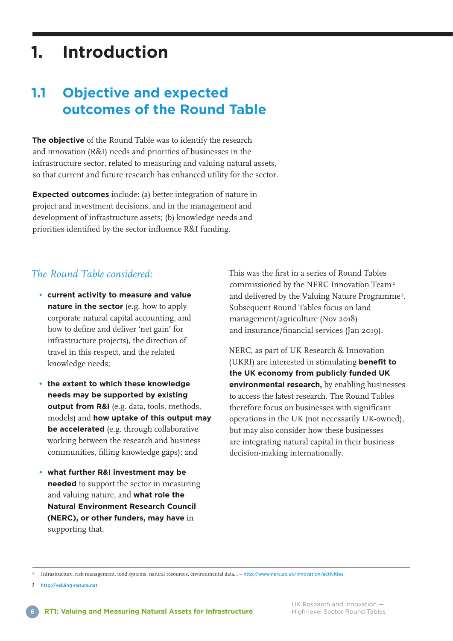## **1. Introduction**

### **1.1 Objective and expected outcomes of the Round Table**

**The objective** of the Round Table was to identify the research and innovation (R&I) needs and priorities of businesses in the infrastructure sector, related to measuring and valuing natural assets, so that current and future research has enhanced utility for the sector.

**Expected outcomes** include: (a) better integration of nature in project and investment decisions, and in the management and development of infrastructure assets; (b) knowledge needs and priorities identified by the sector influence R&I funding.

#### *The Round Table considered:*

- **current activity to measure and value nature in the sector** (e.g. how to apply corporate natural capital accounting, and how to define and deliver 'net gain' for infrastructure projects), the direction of travel in this respect, and the related knowledge needs;
- **the extent to which these knowledge needs may be supported by existing output from R&I** (e.g. data, tools, methods, models) and **how uptake of this output may be accelerated** (e.g. through collaborative working between the research and business communities, filling knowledge gaps); and
- **what further R&I investment may be needed** to support the sector in measuring and valuing nature, and **what role the Natural Environment Research Council (NERC), or other funders, may have** in supporting that.

This was the first in a series of Round Tables commissioned by the NERC Innovation Team<sup>2</sup> and delivered by the Valuing Nature Programme<sup>3</sup>. Subsequent Round Tables focus on land management/agriculture (Nov 20ı8) and insurance/financial services (Jan 20ı9).

NERC, as part of UK Research & Innovation (UKRI) are interested in stimulating **benefit to the UK economy from publicly funded UK environmental research,** by enabling businesses to access the latest research. The Round Tables therefore focus on businesses with significant operations in the UK (not necessarily UK-owned), but may also consider how these businesses are integrating natural capital in their business decision-making internationally.

2 Infrastructure, risk management, food systems, natural resources, environmental data… – <http://www.nerc.ac.uk/innovation/activities>

3 <http://valuing-nature.net>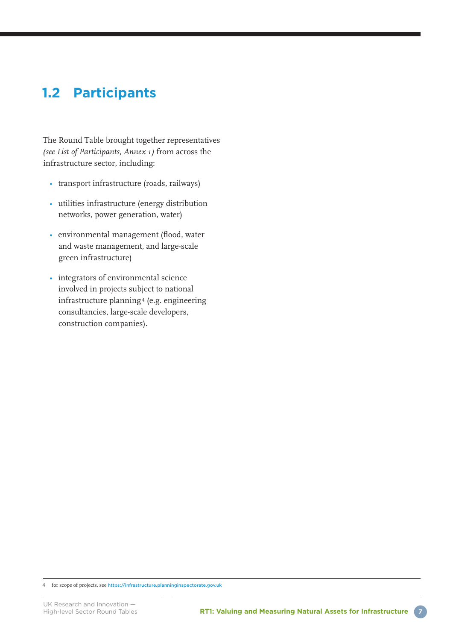### **1.2 Participants**

The Round Table brought together representatives *(see List of Participants, Annex 1)* from across the infrastructure sector, including:

- transport infrastructure (roads, railways)
- utilities infrastructure (energy distribution networks, power generation, water)
- environmental management (flood, water and waste management, and large-scale green infrastructure)
- integrators of environmental science involved in projects subject to national infrastructure planning <sup>4</sup> (e.g. engineering consultancies, large-scale developers, construction companies).

<sup>4</sup> for scope of projects, see <https://infrastructure.planninginspectorate.gov.uk>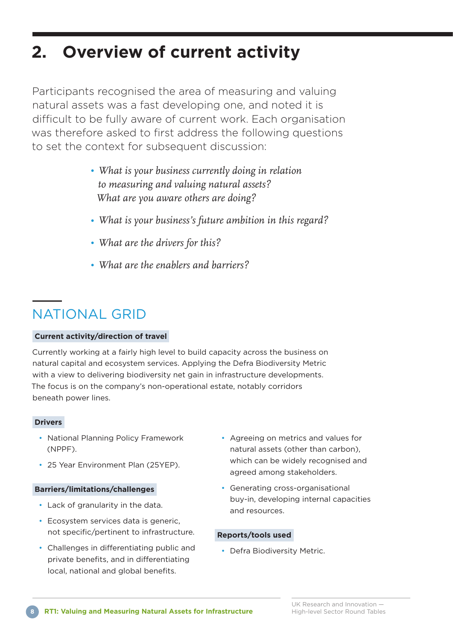## **2. Overview of current activity**

Participants recognised the area of measuring and valuing natural assets was a fast developing one, and noted it is difficult to be fully aware of current work. Each organisation was therefore asked to first address the following questions to set the context for subsequent discussion:

- *What is your business currently doing in relation to measuring and valuing natural assets? What are you aware others are doing?*
- *• What is your business's future ambition in this regard?*
- *• What are the drivers for this?*
- *• What are the enablers and barriers?*

## NATIONAL GRID

#### **Current activity/direction of travel**

Currently working at a fairly high level to build capacity across the business on natural capital and ecosystem services. Applying the Defra Biodiversity Metric with a view to delivering biodiversity net gain in infrastructure developments. The focus is on the company's non-operational estate, notably corridors beneath power lines.

#### **Drivers**

- National Planning Policy Framework (NPPF).
- 25 Year Environment Plan (25YEP).

#### **Barriers/limitations/challenges**

- Lack of granularity in the data.
- Ecosystem services data is generic, not specific/pertinent to infrastructure.
- Challenges in differentiating public and private benefits, and in differentiating local, national and global benefits.
- Agreeing on metrics and values for natural assets (other than carbon), which can be widely recognised and agreed among stakeholders.
- Generating cross-organisational buy-in, developing internal capacities and resources.

#### **Reports/tools used**

• Defra Biodiversity Metric.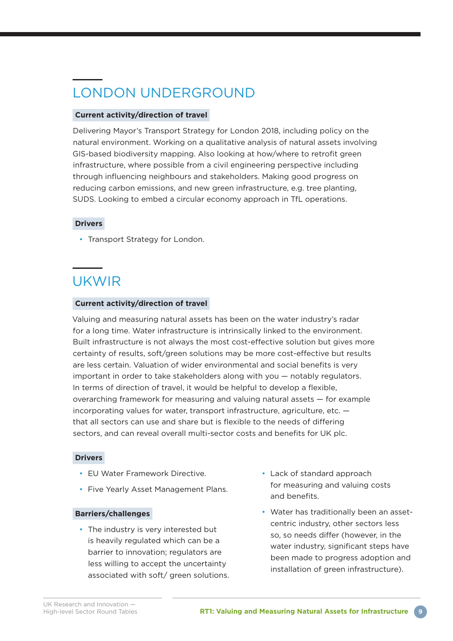## LONDON UNDERGROUND

#### **Current activity/direction of travel**

Delivering Mayor's Transport Strategy for London 2018, including policy on the natural environment. Working on a qualitative analysis of natural assets involving GIS-based biodiversity mapping. Also looking at how/where to retrofit green infrastructure, where possible from a civil engineering perspective including through influencing neighbours and stakeholders. Making good progress on reducing carbon emissions, and new green infrastructure, e.g. tree planting, SUDS. Looking to embed a circular economy approach in TfL operations.

#### **Drivers**

• Transport Strategy for London.

### UKWIR

#### **Current activity/direction of travel**

Valuing and measuring natural assets has been on the water industry's radar for a long time. Water infrastructure is intrinsically linked to the environment. Built infrastructure is not always the most cost-effective solution but gives more certainty of results, soft/green solutions may be more cost-effective but results are less certain. Valuation of wider environmental and social benefits is very important in order to take stakeholders along with you — notably regulators. In terms of direction of travel, it would be helpful to develop a flexible, overarching framework for measuring and valuing natural assets — for example incorporating values for water, transport infrastructure, agriculture, etc. that all sectors can use and share but is flexible to the needs of differing sectors, and can reveal overall multi-sector costs and benefits for UK plc.

#### **Drivers**

- EU Water Framework Directive.
- Five Yearly Asset Management Plans.

#### **Barriers/challenges**

- The industry is very interested but is heavily regulated which can be a barrier to innovation; regulators are less willing to accept the uncertainty associated with soft/ green solutions.
- Lack of standard approach for measuring and valuing costs and benefits.
- Water has traditionally been an assetcentric industry, other sectors less so, so needs differ (however, in the water industry, significant steps have been made to progress adoption and installation of green infrastructure).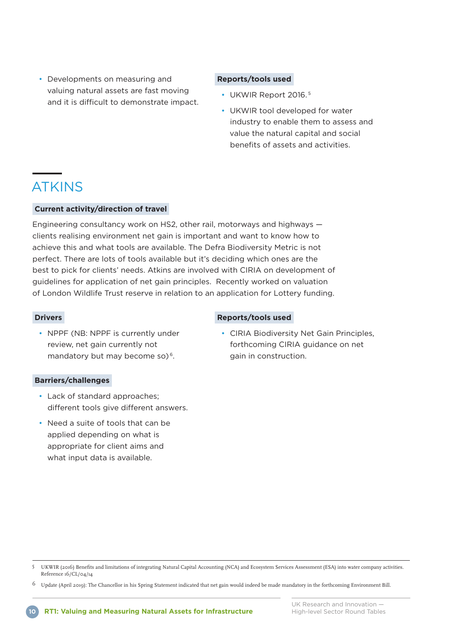• Developments on measuring and valuing natural assets are fast moving and it is difficult to demonstrate impact.

#### **Reports/tools used**

- UKWIR Report 2016. <sup>5</sup>
- UKWIR tool developed for water industry to enable them to assess and value the natural capital and social benefits of assets and activities.

### ATKINS

#### **Current activity/direction of travel**

Engineering consultancy work on HS2, other rail, motorways and highways clients realising environment net gain is important and want to know how to achieve this and what tools are available. The Defra Biodiversity Metric is not perfect. There are lots of tools available but it's deciding which ones are the best to pick for clients' needs. Atkins are involved with CIRIA on development of guidelines for application of net gain principles. Recently worked on valuation of London Wildlife Trust reserve in relation to an application for Lottery funding.

#### **Drivers**

• NPPF (NB: NPPF is currently under review, net gain currently not mandatory but may become so)<sup>6</sup>.

#### **Barriers/challenges**

- Lack of standard approaches; different tools give different answers.
- Need a suite of tools that can be applied depending on what is appropriate for client aims and what input data is available.

#### **Reports/tools used**

• CIRIA Biodiversity Net Gain Principles, forthcoming CIRIA guidance on net gain in construction.

6 Update (April 20ı9): The Chancellor in his Spring Statement indicated that net gain would indeed be made mandatory in the forthcoming Environment Bill.

<sup>5</sup> UKWIR (20ı6) Benefits and limitations of integrating Natural Capital Accounting (NCA) and Ecosystem Services Assessment (ESA) into water company activities. Reference ı6/CL/04/ı4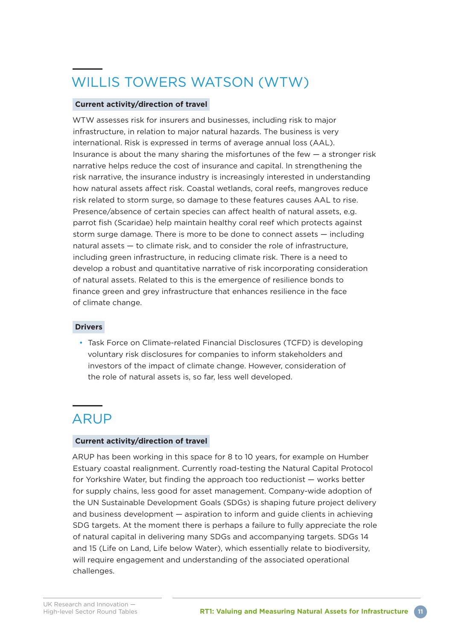## WILLIS TOWERS WATSON (WTW)

#### **Current activity/direction of travel**

WTW assesses risk for insurers and businesses, including risk to major infrastructure, in relation to major natural hazards. The business is very international. Risk is expressed in terms of average annual loss (AAL). Insurance is about the many sharing the misfortunes of the few  $-$  a stronger risk narrative helps reduce the cost of insurance and capital. In strengthening the risk narrative, the insurance industry is increasingly interested in understanding how natural assets affect risk. Coastal wetlands, coral reefs, mangroves reduce risk related to storm surge, so damage to these features causes AAL to rise. Presence/absence of certain species can affect health of natural assets, e.g. parrot fish (Scaridae) help maintain healthy coral reef which protects against storm surge damage. There is more to be done to connect assets — including natural assets — to climate risk, and to consider the role of infrastructure, including green infrastructure, in reducing climate risk. There is a need to develop a robust and quantitative narrative of risk incorporating consideration of natural assets. Related to this is the emergence of resilience bonds to finance green and grey infrastructure that enhances resilience in the face of climate change.

#### **Drivers**

• Task Force on Climate-related Financial Disclosures (TCFD) is developing voluntary risk disclosures for companies to inform stakeholders and investors of the impact of climate change. However, consideration of the role of natural assets is, so far, less well developed.

### ARUP

#### **Current activity/direction of travel**

ARUP has been working in this space for 8 to 10 years, for example on Humber Estuary coastal realignment. Currently road-testing the Natural Capital Protocol for Yorkshire Water, but finding the approach too reductionist — works better for supply chains, less good for asset management. Company-wide adoption of the UN Sustainable Development Goals (SDGs) is shaping future project delivery and business development — aspiration to inform and guide clients in achieving SDG targets. At the moment there is perhaps a failure to fully appreciate the role of natural capital in delivering many SDGs and accompanying targets. SDGs 14 and 15 (Life on Land, Life below Water), which essentially relate to biodiversity, will require engagement and understanding of the associated operational challenges.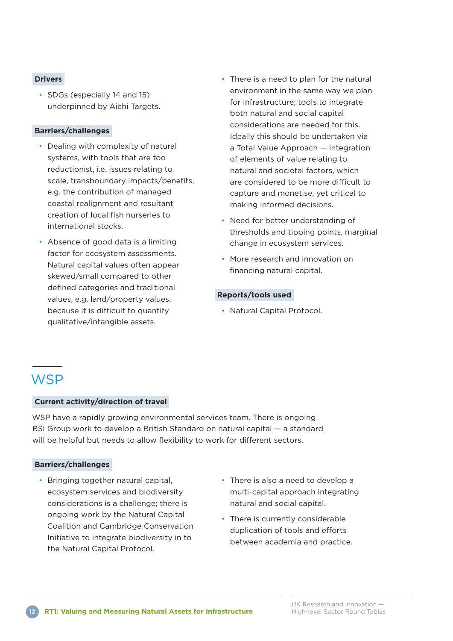#### **Drivers**

• SDGs (especially 14 and 15) underpinned by Aichi Targets.

#### **Barriers/challenges**

- Dealing with complexity of natural systems, with tools that are too reductionist, i.e. issues relating to scale, transboundary impacts/benefits, e.g. the contribution of managed coastal realignment and resultant creation of local fish nurseries to international stocks.
- Absence of good data is a limiting factor for ecosystem assessments. Natural capital values often appear skewed/small compared to other defined categories and traditional values, e.g. land/property values, because it is difficult to quantify qualitative/intangible assets.
- There is a need to plan for the natural environment in the same way we plan for infrastructure; tools to integrate both natural and social capital considerations are needed for this. Ideally this should be undertaken via a Total Value Approach — integration of elements of value relating to natural and societal factors, which are considered to be more difficult to capture and monetise, yet critical to making informed decisions.
- Need for better understanding of thresholds and tipping points, marginal change in ecosystem services.
- More research and innovation on financing natural capital.

#### **Reports/tools used**

• Natural Capital Protocol.

### **WSP**

#### **Current activity/direction of travel**

WSP have a rapidly growing environmental services team. There is ongoing BSI Group work to develop a British Standard on natural capital — a standard will be helpful but needs to allow flexibility to work for different sectors.

#### **Barriers/challenges**

- Bringing together natural capital, ecosystem services and biodiversity considerations is a challenge; there is ongoing work by the Natural Capital Coalition and Cambridge Conservation Initiative to integrate biodiversity in to the Natural Capital Protocol.
- There is also a need to develop a multi-capital approach integrating natural and social capital.
- There is currently considerable duplication of tools and efforts between academia and practice.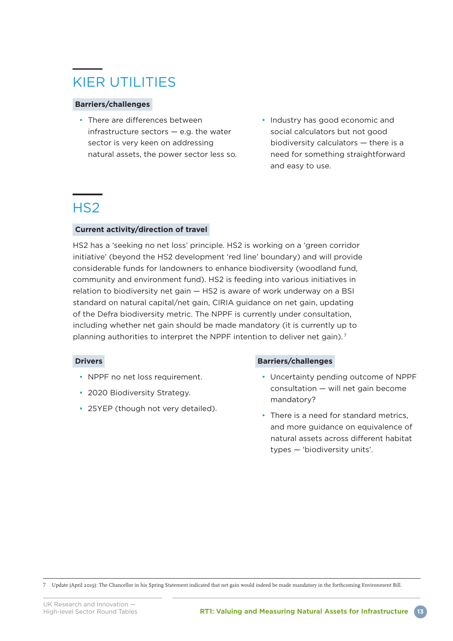## KIER UTILITIES

#### **Barriers/challenges**

- There are differences between infrastructure sectors — e.g. the water sector is very keen on addressing natural assets, the power sector less so.
- Industry has good economic and social calculators but not good biodiversity calculators — there is a need for something straightforward and easy to use.

### H<sub>S2</sub>

#### **Current activity/direction of travel**

HS2 has a 'seeking no net loss' principle. HS2 is working on a 'green corridor initiative' (beyond the HS2 development 'red line' boundary) and will provide considerable funds for landowners to enhance biodiversity (woodland fund, community and environment fund). HS2 is feeding into various initiatives in relation to biodiversity net gain — HS2 is aware of work underway on a BSI standard on natural capital/net gain, CIRIA guidance on net gain, updating of the Defra biodiversity metric. The NPPF is currently under consultation, including whether net gain should be made mandatory (it is currently up to planning authorities to interpret the NPPF intention to deliver net gain).<sup>7</sup>

#### **Drivers**

- NPPF no net loss requirement.
- 2020 Biodiversity Strategy.
- 25YEP (though not very detailed).

#### **Barriers/challenges**

- Uncertainty pending outcome of NPPF consultation — will net gain become mandatory?
- There is a need for standard metrics, and more guidance on equivalence of natural assets across different habitat types — 'biodiversity units'.

7 Update (April 20ı9): The Chancellor in his Spring Statement indicated that net gain would indeed be made mandatory in the forthcoming Environment Bill.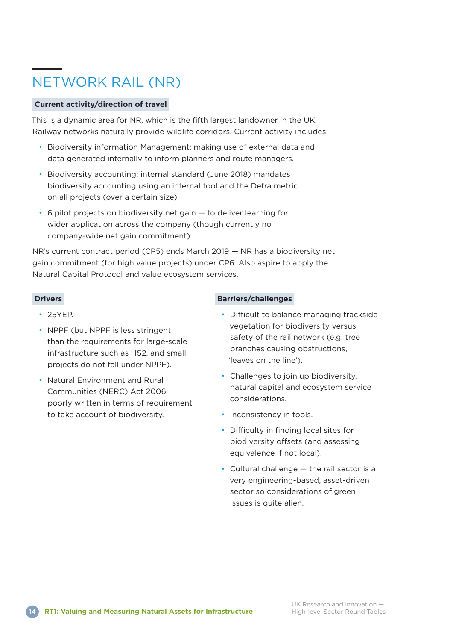## NETWORK RAIL (NR)

#### **Current activity/direction of travel**

This is a dynamic area for NR, which is the fifth largest landowner in the UK. Railway networks naturally provide wildlife corridors. Current activity includes:

- Biodiversity information Management: making use of external data and data generated internally to inform planners and route managers.
- Biodiversity accounting: internal standard (June 2018) mandates biodiversity accounting using an internal tool and the Defra metric on all projects (over a certain size).
- 6 pilot projects on biodiversity net gain to deliver learning for wider application across the company (though currently no company-wide net gain commitment).

NR's current contract period (CP5) ends March 2019 — NR has a biodiversity net gain commitment (for high value projects) under CP6. Also aspire to apply the Natural Capital Protocol and value ecosystem services.

#### **Drivers**

- 25YEP.
- NPPF (but NPPF is less stringent than the requirements for large-scale infrastructure such as HS2, and small projects do not fall under NPPF).
- Natural Environment and Rural Communities (NERC) Act 2006 poorly written in terms of requirement to take account of biodiversity.

#### **Barriers/challenges**

- Difficult to balance managing trackside vegetation for biodiversity versus safety of the rail network (e.g. tree branches causing obstructions, 'leaves on the line').
- Challenges to join up biodiversity. natural capital and ecosystem service considerations.
- Inconsistency in tools.
- Difficulty in finding local sites for biodiversity offsets (and assessing equivalence if not local).
- Cultural challenge the rail sector is a very engineering-based, asset-driven sector so considerations of green issues is quite alien.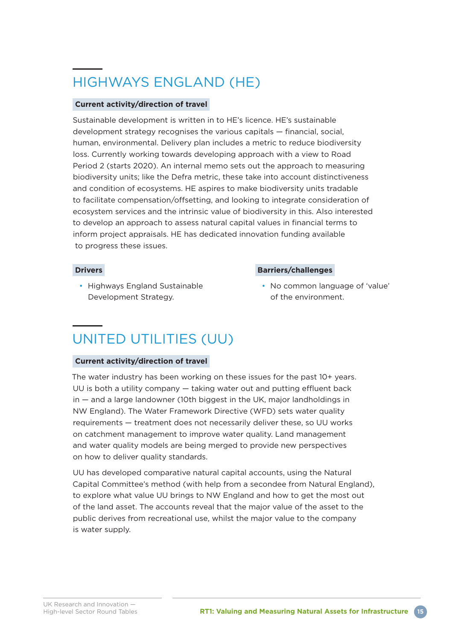## HIGHWAYS ENGLAND (HE)

#### **Current activity/direction of travel**

Sustainable development is written in to HE's licence. HE's sustainable development strategy recognises the various capitals — financial, social, human, environmental. Delivery plan includes a metric to reduce biodiversity loss. Currently working towards developing approach with a view to Road Period 2 (starts 2020). An internal memo sets out the approach to measuring biodiversity units; like the Defra metric, these take into account distinctiveness and condition of ecosystems. HE aspires to make biodiversity units tradable to facilitate compensation/offsetting, and looking to integrate consideration of ecosystem services and the intrinsic value of biodiversity in this. Also interested to develop an approach to assess natural capital values in financial terms to inform project appraisals. HE has dedicated innovation funding available to progress these issues.

#### **Drivers**

• Highways England Sustainable Development Strategy.

#### **Barriers/challenges**

• No common language of 'value' of the environment.

### UNITED UTILITIES (UU)

#### **Current activity/direction of travel**

The water industry has been working on these issues for the past 10+ years. UU is both a utility company — taking water out and putting effluent back in — and a large landowner (10th biggest in the UK, major landholdings in NW England). The Water Framework Directive (WFD) sets water quality requirements — treatment does not necessarily deliver these, so UU works on catchment management to improve water quality. Land management and water quality models are being merged to provide new perspectives on how to deliver quality standards.

UU has developed comparative natural capital accounts, using the Natural Capital Committee's method (with help from a secondee from Natural England), to explore what value UU brings to NW England and how to get the most out of the land asset. The accounts reveal that the major value of the asset to the public derives from recreational use, whilst the major value to the company is water supply.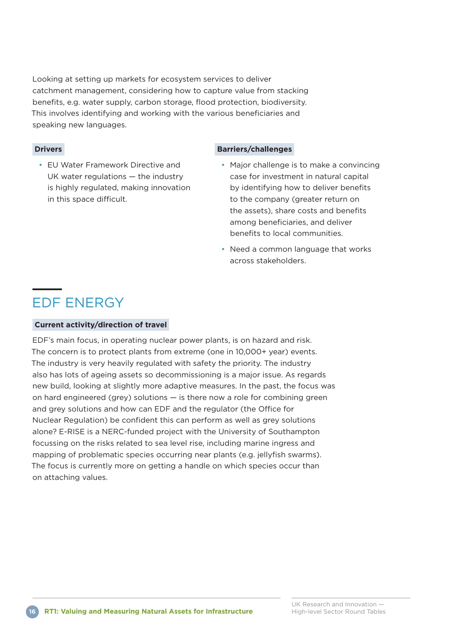Looking at setting up markets for ecosystem services to deliver catchment management, considering how to capture value from stacking benefits, e.g. water supply, carbon storage, flood protection, biodiversity. This involves identifying and working with the various beneficiaries and speaking new languages.

#### **Drivers**

• EU Water Framework Directive and UK water regulations — the industry is highly regulated, making innovation in this space difficult.

#### **Barriers/challenges**

- Major challenge is to make a convincing case for investment in natural capital by identifying how to deliver benefits to the company (greater return on the assets), share costs and benefits among beneficiaries, and deliver benefits to local communities.
- Need a common language that works across stakeholders.

### EDF ENERGY

#### **Current activity/direction of travel**

EDF's main focus, in operating nuclear power plants, is on hazard and risk. The concern is to protect plants from extreme (one in 10,000+ year) events. The industry is very heavily regulated with safety the priority. The industry also has lots of ageing assets so decommissioning is a major issue. As regards new build, looking at slightly more adaptive measures. In the past, the focus was on hard engineered (grey) solutions — is there now a role for combining green and grey solutions and how can EDF and the regulator (the Office for Nuclear Regulation) be confident this can perform as well as grey solutions alone? E-RISE is a NERC-funded project with the University of Southampton focussing on the risks related to sea level rise, including marine ingress and mapping of problematic species occurring near plants (e.g. jellyfish swarms). The focus is currently more on getting a handle on which species occur than on attaching values.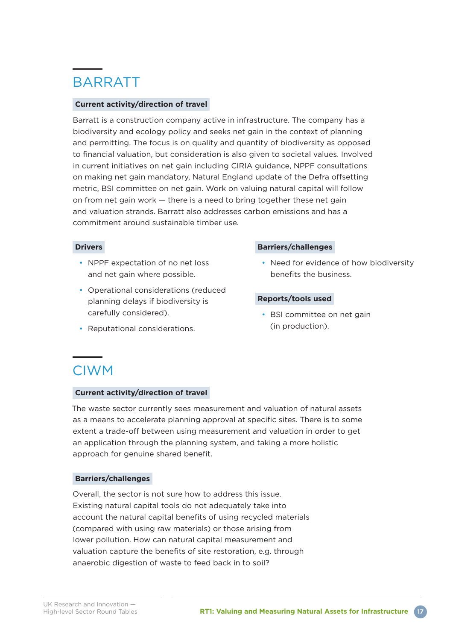## **BARRATT**

#### **Current activity/direction of travel**

Barratt is a construction company active in infrastructure. The company has a biodiversity and ecology policy and seeks net gain in the context of planning and permitting. The focus is on quality and quantity of biodiversity as opposed to financial valuation, but consideration is also given to societal values. Involved in current initiatives on net gain including CIRIA guidance, NPPF consultations on making net gain mandatory, Natural England update of the Defra offsetting metric, BSI committee on net gain. Work on valuing natural capital will follow on from net gain work — there is a need to bring together these net gain and valuation strands. Barratt also addresses carbon emissions and has a commitment around sustainable timber use.

#### **Drivers**

- NPPF expectation of no net loss and net gain where possible.
- Operational considerations (reduced planning delays if biodiversity is carefully considered).
- Reputational considerations.

#### **Barriers/challenges**

• Need for evidence of how biodiversity benefits the business.

#### **Reports/tools used**

• BSI committee on net gain (in production).

### CIWM

#### **Current activity/direction of travel**

The waste sector currently sees measurement and valuation of natural assets as a means to accelerate planning approval at specific sites. There is to some extent a trade-off between using measurement and valuation in order to get an application through the planning system, and taking a more holistic approach for genuine shared benefit.

#### **Barriers/challenges**

Overall, the sector is not sure how to address this issue. Existing natural capital tools do not adequately take into account the natural capital benefits of using recycled materials (compared with using raw materials) or those arising from lower pollution. How can natural capital measurement and valuation capture the benefits of site restoration, e.g. through anaerobic digestion of waste to feed back in to soil?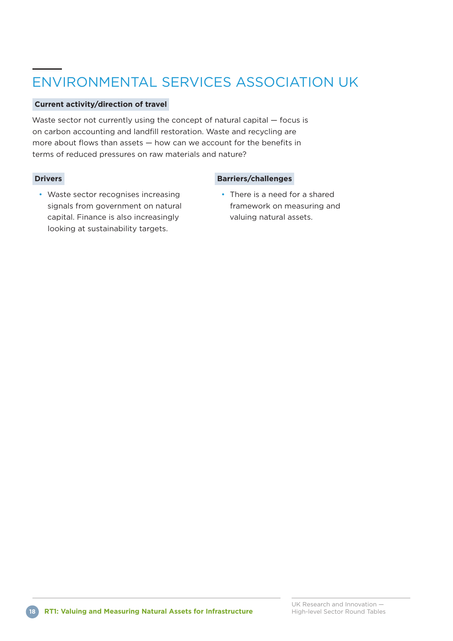## ENVIRONMENTAL SERVICES ASSOCIATION UK

#### **Current activity/direction of travel**

Waste sector not currently using the concept of natural capital — focus is on carbon accounting and landfill restoration. Waste and recycling are more about flows than assets — how can we account for the benefits in terms of reduced pressures on raw materials and nature?

#### **Drivers**

#### **Barriers/challenges**

- Waste sector recognises increasing signals from government on natural capital. Finance is also increasingly looking at sustainability targets.
- There is a need for a shared framework on measuring and valuing natural assets.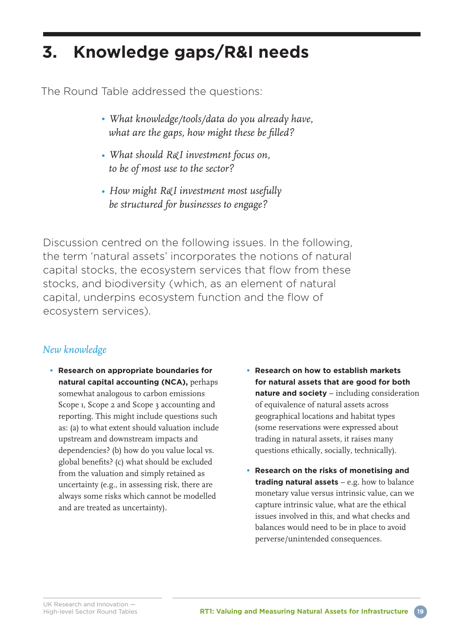## **3. Knowledge gaps/R&I needs**

The Round Table addressed the questions:

- *What knowledge/tools/data do you already have, what are the gaps, how might these be filled?*
- *What should R&I investment focus on, to be of most use to the sector?*
- *How might R&I investment most usefully be structured for businesses to engage?*

Discussion centred on the following issues. In the following, the term 'natural assets' incorporates the notions of natural capital stocks, the ecosystem services that flow from these stocks, and biodiversity (which, as an element of natural capital, underpins ecosystem function and the flow of ecosystem services).

### *New knowledge*

- **Research on appropriate boundaries for natural capital accounting (NCA),** perhaps somewhat analogous to carbon emissions Scope 1, Scope 2 and Scope 3 accounting and reporting. This might include questions such as: (a) to what extent should valuation include upstream and downstream impacts and dependencies? (b) how do you value local vs. global benefits? (c) what should be excluded from the valuation and simply retained as uncertainty (e.g., in assessing risk, there are always some risks which cannot be modelled and are treated as uncertainty).
- **Research on how to establish markets for natural assets that are good for both nature and society** – including consideration of equivalence of natural assets across geographical locations and habitat types (some reservations were expressed about trading in natural assets, it raises many questions ethically, socially, technically).
- **Research on the risks of monetising and trading natural assets** – e.g. how to balance monetary value versus intrinsic value, can we capture intrinsic value, what are the ethical issues involved in this, and what checks and balances would need to be in place to avoid perverse/unintended consequences.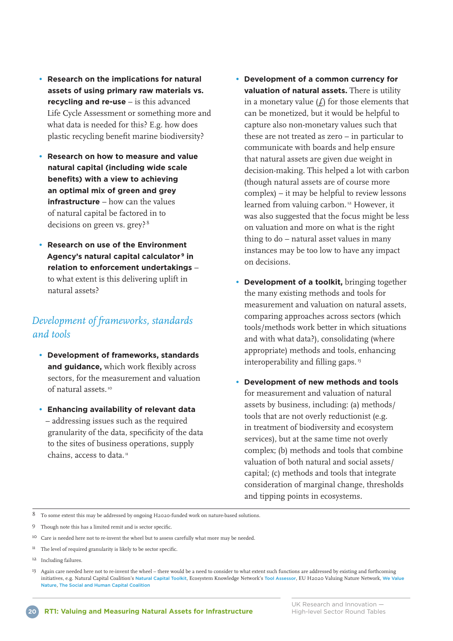- **Research on the implications for natural assets of using primary raw materials vs. recycling and re-use** – is this advanced Life Cycle Assessment or something more and what data is needed for this? E.g. how does plastic recycling benefit marine biodiversity?
- **Research on how to measure and value natural capital (including wide scale benefits) with a view to achieving an optimal mix of green and grey infrastructure** – how can the values of natural capital be factored in to decisions on green vs. grey? <sup>8</sup>
- **Research on use of the Environment Agency's natural capital calculator 9 in relation to enforcement undertakings** – to what extent is this delivering uplift in natural assets?

#### *Development of frameworks, standards and tools*

- **Development of frameworks, standards and guidance,** which work flexibly across sectors, for the measurement and valuation of natural assets. ı0
- **Enhancing availability of relevant data** – addressing issues such as the required granularity of the data, specificity of the data to the sites of business operations, supply chains, access to data. $\frac{1}{n}$
- **Development of a common currency for valuation of natural assets.** There is utility in a monetary value  $(f)$  for those elements that can be monetized, but it would be helpful to capture also non-monetary values such that these are not treated as zero – in particular to communicate with boards and help ensure that natural assets are given due weight in decision-making. This helped a lot with carbon (though natural assets are of course more complex) – it may be helpful to review lessons learned from valuing carbon.<sup>12</sup> However, it was also suggested that the focus might be less on valuation and more on what is the right thing to do – natural asset values in many instances may be too low to have any impact on decisions.
- **Development of a toolkit,** bringing together the many existing methods and tools for measurement and valuation on natural assets, comparing approaches across sectors (which tools/methods work better in which situations and with what data?), consolidating (where appropriate) methods and tools, enhancing interoperability and filling gaps.<sup>13</sup>
- **Development of new methods and tools** for measurement and valuation of natural assets by business, including: (a) methods/ tools that are not overly reductionist (e.g. in treatment of biodiversity and ecosystem services), but at the same time not overly complex; (b) methods and tools that combine valuation of both natural and social assets/ capital; (c) methods and tools that integrate consideration of marginal change, thresholds and tipping points in ecosystems.

 $8$   $\,$  To some extent this may be addressed by ongoing H2020-funded work on nature-based solutions.

9 Though note this has a limited remit and is sector specific.

<sup>&</sup>lt;sup>10</sup> Care is needed here not to re-invent the wheel but to assess carefully what more may be needed.

 $11$  The level of required granularity is likely to be sector specific.

ı2 Including failures.

ı3 Again care needed here not to re-invent the wheel – there would be a need to consider to what extent such functions are addressed by existing and forthcoming initiatives, e.g. Natural Capital Coalition's [Natural](https://www.naturalcapitaltoolkit.org/) Capital Toolkit, Ecosystem Knowledge Network's Tool [Assessor](https://ecosystemsknowledge.net/resources/guidance-and-tools/tools/tool-assessor), EU H2020 Valuing Nature Network, We [Value](http://www.wevaluenature.eu/) [Nature](http://www.wevaluenature.eu/), The Social and Human Capital [Coalition](http://www.social-human-capital.org/toolkit)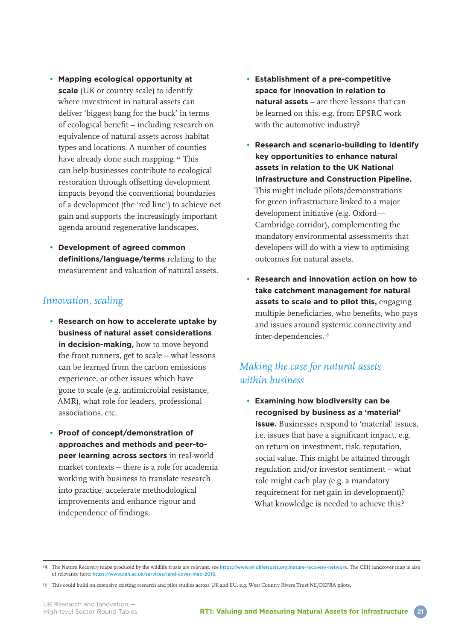- **Mapping ecological opportunity at scale** (UK or country scale) to identify where investment in natural assets can deliver 'biggest bang for the buck' in terms of ecological benefit – including research on equivalence of natural assets across habitat types and locations. A number of counties have already done such mapping.<sup>14</sup> This can help businesses contribute to ecological restoration through offsetting development impacts beyond the conventional boundaries of a development (the 'red line') to achieve net gain and supports the increasingly important agenda around regenerative landscapes.
- **Development of agreed common definitions/language/terms** relating to the measurement and valuation of natural assets.

#### *Innovation, scaling*

- **Research on how to accelerate uptake by business of natural asset considerations in decision-making,** how to move beyond the front runners, get to scale – what lessons can be learned from the carbon emissions experience, or other issues which have gone to scale (e.g. antimicrobial resistance, AMR), what role for leaders, professional associations, etc.
- **Proof of concept/demonstration of approaches and methods and peer-topeer learning across sectors** in real-world market contexts – there is a role for academia working with business to translate research into practice, accelerate methodological improvements and enhance rigour and independence of findings.
- **Establishment of a pre-competitive space for innovation in relation to natural assets** – are there lessons that can be learned on this, e.g. from EPSRC work with the automotive industry?
- **Research and scenario-building to identify key opportunities to enhance natural assets in relation to the UK National Infrastructure and Construction Pipeline.** This might include pilots/demonstrations for green infrastructure linked to a major development initiative (e.g. Oxford— Cambridge corridor), complementing the mandatory environmental assessments that developers will do with a view to optimising outcomes for natural assets.
- **Research and innovation action on how to take catchment management for natural assets to scale and to pilot this,** engaging multiple beneficiaries, who benefits, who pays and issues around systemic connectivity and inter-dependencies.<sup>15</sup>

### *Making the case for natural assets within business*

**• Examining how biodiversity can be recognised by business as a 'material' issue.** Businesses respond to 'material' issues, i.e. issues that have a significant impact, e.g. on return on investment, risk, reputation, social value. This might be attained through regulation and/or investor sentiment – what role might each play (e.g. a mandatory requirement for net gain in development)? What knowledge is needed to achieve this?

<sup>&</sup>lt;sup>14</sup> The Nature Recovery maps produced by the wildlife trusts are relevant, see <https://www.wildlifetrusts.org/nature-recovery-network>. The CEH landcover map is also of relevance here: <https://www.ceh.ac.uk/services/land-cover-map-2015>.

ı5 This could build on extensive existing research and pilot studies across UK and EU, e.g. West Country Rivers Trust NE/DEFRA pilots.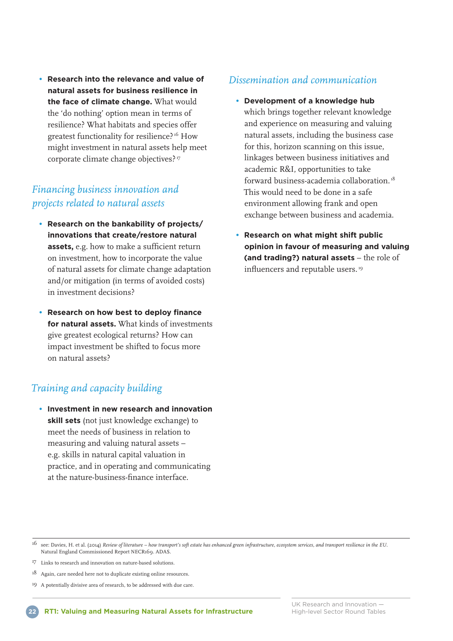**• Research into the relevance and value of natural assets for business resilience in the face of climate change.** What would the 'do nothing' option mean in terms of resilience? What habitats and species offer greatest functionality for resilience? ı6 How might investment in natural assets help meet corporate climate change objectives? ı7

### *Financing business innovation and projects related to natural assets*

- **Research on the bankability of projects/ innovations that create/restore natural assets,** e.g. how to make a sufficient return on investment, how to incorporate the value of natural assets for climate change adaptation and/or mitigation (in terms of avoided costs) in investment decisions?
- **Research on how best to deploy finance for natural assets.** What kinds of investments give greatest ecological returns? How can impact investment be shifted to focus more on natural assets?

### *Training and capacity building*

**• Investment in new research and innovation skill sets** (not just knowledge exchange) to meet the needs of business in relation to measuring and valuing natural assets – e.g. skills in natural capital valuation in practice, and in operating and communicating at the nature-business-finance interface.

#### *Dissemination and communication*

- **Development of a knowledge hub** which brings together relevant knowledge and experience on measuring and valuing natural assets, including the business case for this, horizon scanning on this issue, linkages between business initiatives and academic R&I, opportunities to take forward business-academia collaboration. ı8 This would need to be done in a safe environment allowing frank and open exchange between business and academia.
- **Research on what might shift public opinion in favour of measuring and valuing (and trading?) natural assets** – the role of influencers and reputable users.<sup>19</sup>

- ı6 see: Davies, H. et al. (20ı4) *Review of literature how transport's soft estate has enhanced green infrastructure, ecosystem services, and transport resilience in the EU.* Natural England Commissioned Report NECRı69. ADAS.
- ı7 Links to research and innovation on nature-based solutions.
- ı8 Again, care needed here not to duplicate existing online resources.
- ı9 A potentially divisive area of research, to be addressed with due care.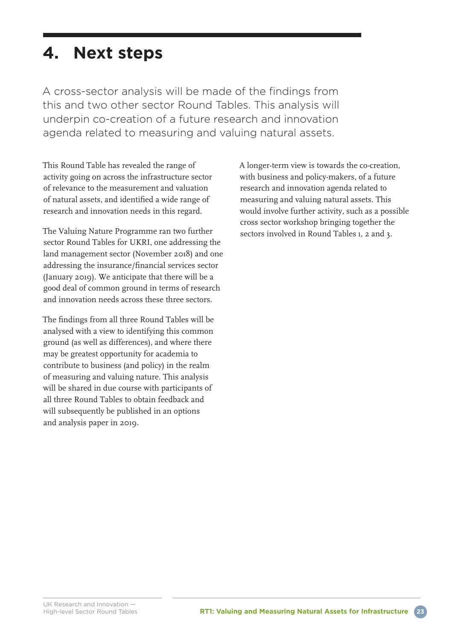## **4. Next steps**

A cross-sector analysis will be made of the findings from this and two other sector Round Tables. This analysis will underpin co-creation of a future research and innovation agenda related to measuring and valuing natural assets.

This Round Table has revealed the range of activity going on across the infrastructure sector of relevance to the measurement and valuation of natural assets, and identified a wide range of research and innovation needs in this regard.

The Valuing Nature Programme ran two further sector Round Tables for UKRI, one addressing the land management sector (November 20ı8) and one addressing the insurance/financial services sector (January 20ı9). We anticipate that there will be a good deal of common ground in terms of research and innovation needs across these three sectors.

The findings from all three Round Tables will be analysed with a view to identifying this common ground (as well as differences), and where there may be greatest opportunity for academia to contribute to business (and policy) in the realm of measuring and valuing nature. This analysis will be shared in due course with participants of all three Round Tables to obtain feedback and will subsequently be published in an options and analysis paper in 20ı9.

A longer-term view is towards the co-creation, with business and policy-makers, of a future research and innovation agenda related to measuring and valuing natural assets. This would involve further activity, such as a possible cross sector workshop bringing together the sectors involved in Round Tables ı, 2 and 3.